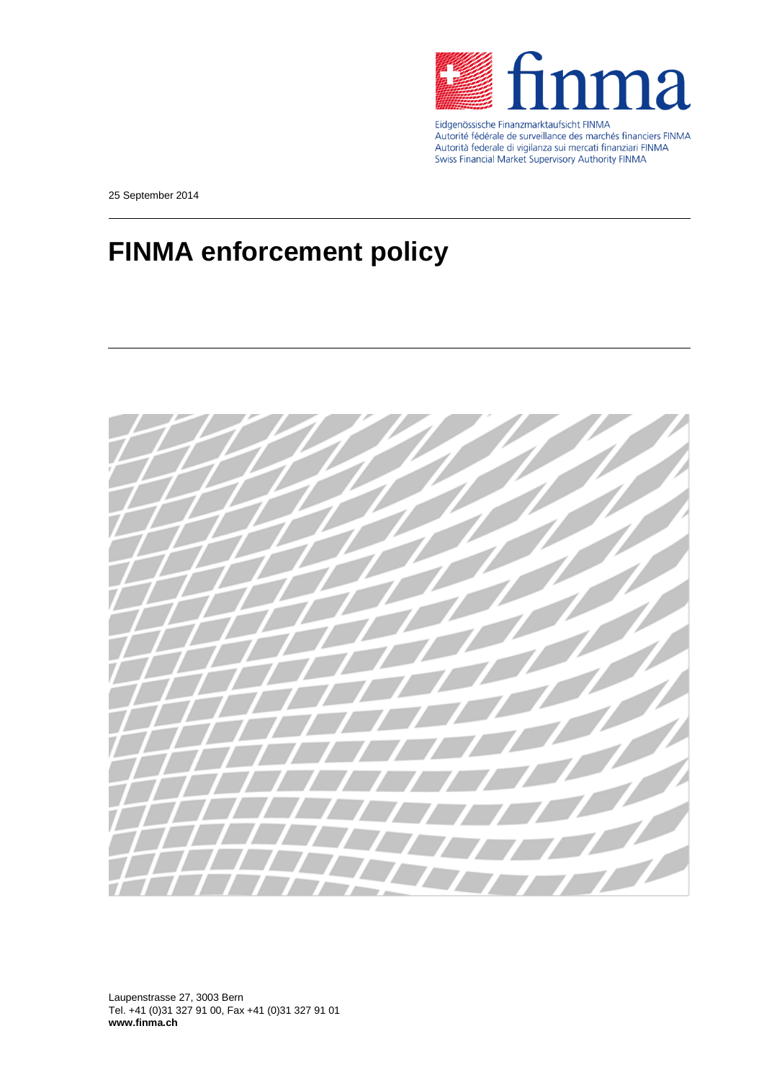

Eidgenössische Finanzmarktaufsicht FINMA<br>Autorité fédérale de surveillance des marchés financiers FINMA Autorità federale di vigilanza sui mercati finanziari FINMA Swiss Financial Market Supervisory Authority FINMA

25 September 2014

## **FINMA enforcement policy**



Laupenstrasse 27, 3003 Bern Tel. +41 (0)31 327 91 00, Fax +41 (0)31 327 91 01 **www.finma.ch**